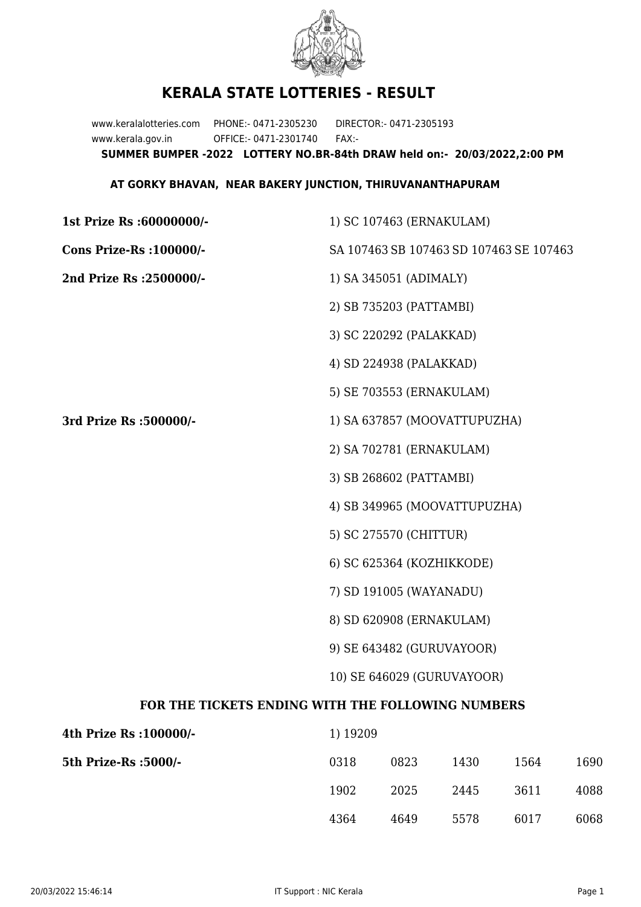

## **KERALA STATE LOTTERIES - RESULT**

www.keralalotteries.com PHONE:- 0471-2305230 DIRECTOR:- 0471-2305193 www.kerala.gov.in OFFICE:- 0471-2301740 FAX:- **SUMMER BUMPER -2022 LOTTERY NO.BR-84th DRAW held on:- 20/03/2022,2:00 PM**

## **AT GORKY BHAVAN, NEAR BAKERY JUNCTION, THIRUVANANTHAPURAM**

**1st Prize Rs :60000000/-** 1) SC 107463 (ERNAKULAM) **Cons Prize-Rs :100000/-** SA 107463 SB 107463 SD 107463 SE 107463 **2nd Prize Rs :2500000/-** 1) SA 345051 (ADIMALY) 2) SB 735203 (PATTAMBI) 3) SC 220292 (PALAKKAD) 4) SD 224938 (PALAKKAD) 5) SE 703553 (ERNAKULAM) **3rd Prize Rs :500000/-** 1) SA 637857 (MOOVATTUPUZHA) 2) SA 702781 (ERNAKULAM) 3) SB 268602 (PATTAMBI) 4) SB 349965 (MOOVATTUPUZHA) 5) SC 275570 (CHITTUR) 6) SC 625364 (KOZHIKKODE) 7) SD 191005 (WAYANADU) 8) SD 620908 (ERNAKULAM) 9) SE 643482 (GURUVAYOOR) 10) SE 646029 (GURUVAYOOR) **FOR THE TICKETS ENDING WITH THE FOLLOWING NUMBERS 4th Prize Rs :100000/-** 1) 19209 5th Prize-Rs : 5000/-

| 0318 | 0823 | 1430 | 1564 | 1690 |
|------|------|------|------|------|
| 1902 | 2025 | 2445 | 3611 | 4088 |
| 4364 | 4649 | 5578 | 6017 | 6068 |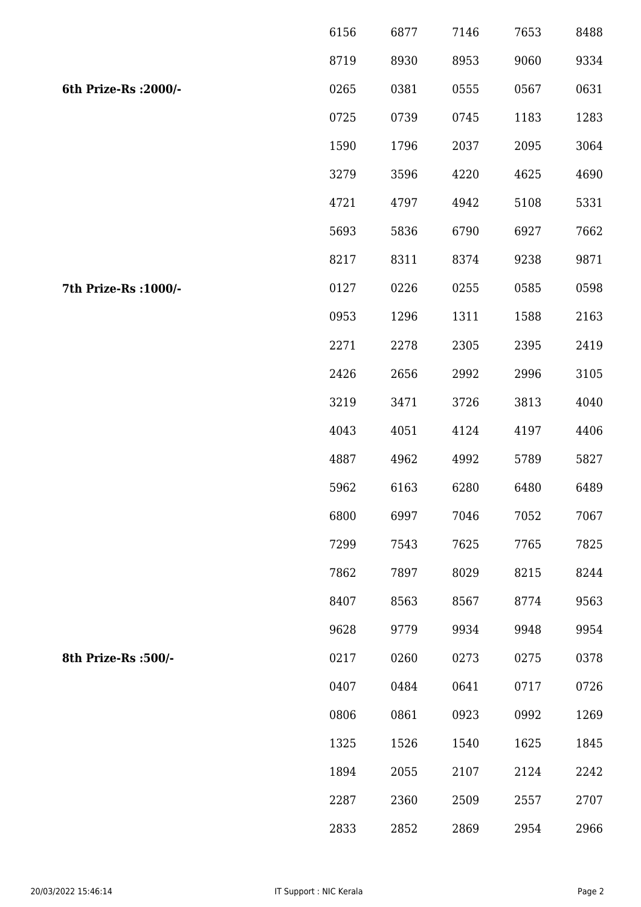|                       | 6156 | 6877 | 7146 | 7653 | 8488 |
|-----------------------|------|------|------|------|------|
|                       | 8719 | 8930 | 8953 | 9060 | 9334 |
| 6th Prize-Rs : 2000/- | 0265 | 0381 | 0555 | 0567 | 0631 |
|                       | 0725 | 0739 | 0745 | 1183 | 1283 |
|                       | 1590 | 1796 | 2037 | 2095 | 3064 |
|                       | 3279 | 3596 | 4220 | 4625 | 4690 |
|                       | 4721 | 4797 | 4942 | 5108 | 5331 |
|                       | 5693 | 5836 | 6790 | 6927 | 7662 |
|                       | 8217 | 8311 | 8374 | 9238 | 9871 |
| 7th Prize-Rs : 1000/- | 0127 | 0226 | 0255 | 0585 | 0598 |
|                       | 0953 | 1296 | 1311 | 1588 | 2163 |
|                       | 2271 | 2278 | 2305 | 2395 | 2419 |
|                       | 2426 | 2656 | 2992 | 2996 | 3105 |
|                       | 3219 | 3471 | 3726 | 3813 | 4040 |
|                       | 4043 | 4051 | 4124 | 4197 | 4406 |
|                       | 4887 | 4962 | 4992 | 5789 | 5827 |
|                       | 5962 | 6163 | 6280 | 6480 | 6489 |
|                       | 6800 | 6997 | 7046 | 7052 | 7067 |
|                       | 7299 | 7543 | 7625 | 7765 | 7825 |
|                       | 7862 | 7897 | 8029 | 8215 | 8244 |
|                       | 8407 | 8563 | 8567 | 8774 | 9563 |
|                       | 9628 | 9779 | 9934 | 9948 | 9954 |
| 8th Prize-Rs : 500/-  | 0217 | 0260 | 0273 | 0275 | 0378 |
|                       | 0407 | 0484 | 0641 | 0717 | 0726 |
|                       | 0806 | 0861 | 0923 | 0992 | 1269 |
|                       | 1325 | 1526 | 1540 | 1625 | 1845 |
|                       | 1894 | 2055 | 2107 | 2124 | 2242 |
|                       | 2287 | 2360 | 2509 | 2557 | 2707 |
|                       | 2833 | 2852 | 2869 | 2954 | 2966 |